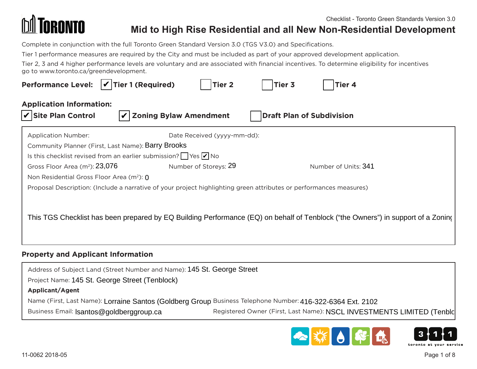

Complete in conjunction with the full Toronto Green Standard Version 3.0 (TGS V3.0) and Specifications.

Tier 1 performance measures are required by the City and must be included as part of your approved development application.

Tier 2, 3 and 4 higher performance levels are voluntary and are associated with financial incentives. To determine eligibility for incentives go to www.toronto.ca/greendevelopment.

| Performance Level: $\boxed{\check{\mathcal{V}}}$ Tier 1 (Required) $\boxed{\phantom{\check{\mathcal{V}}} }$ Tier 2 $\boxed{\phantom{\check{\mathcal{V}}} }$ Tier 4                                                                                                                                                                               |  |  |
|--------------------------------------------------------------------------------------------------------------------------------------------------------------------------------------------------------------------------------------------------------------------------------------------------------------------------------------------------|--|--|
| <b>Application Information:</b><br>Site Plan Control $\boxed{\nu}$ Zoning Bylaw Amendment $\boxed{\phantom{\nu}}$ Draft Plan of Subdivision                                                                                                                                                                                                      |  |  |
| Date Received (yyyy-mm-dd):<br>Application Number:<br>Community Planner (First, Last Name): Barry Brooks<br>Is this checklist revised from an earlier submission? $\Box$ Yes $\Box$ No<br>Gross Floor Area (m <sup>2</sup> ): 23,076<br>Number of Units: 341<br>Number of Storeys: 29<br>Non Residential Gross Floor Area (m <sup>2</sup> ): $0$ |  |  |
| Proposal Description: (Include a narrative of your project highlighting green attributes or performances measures)                                                                                                                                                                                                                               |  |  |
| <sup> </sup> This TGS Checklist has been prepared by EQ Building Performance (EQ) on behalf of Tenblock ("the Owners") in support of a Zonin $\mathfrak{c}$                                                                                                                                                                                      |  |  |
| <b>Property and Applicant Information</b>                                                                                                                                                                                                                                                                                                        |  |  |

### **Property and Applicant Information**

Address of Subject Land (Street Number and Name): 145 St. George Street Project Name: 145 St. George Street (Tenblock) **Applicant/Agent** Name (First, Last Name): Lorraine Santos (Goldberg Group Business Telephone Number: 416-322-6364 Ext. 2102 Business Email: Isantos@goldberggroup.ca Registered Owner (First, Last Name): NSCL INVESTMENTS LIMITED (Tenblc

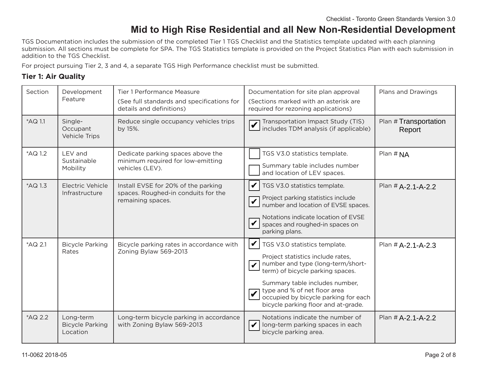TGS Documentation includes the submission of the completed Tier 1 TGS Checklist and the Statistics template updated with each planning submission. All sections must be complete for SPA. The TGS Statistics template is provided on the Project Statistics Plan with each submission in addition to the TGS Checklist.

For project pursuing Tier 2, 3 and 4, a separate TGS High Performance checklist must be submitted.

### **Tier 1: Air Quality**

| Section | Development<br>Feature                          | Tier 1 Performance Measure<br>(See full standards and specifications for<br>details and definitions) | Documentation for site plan approval<br>(Sections marked with an asterisk are<br>required for rezoning applications)                                                                                                                                                                                                                               | Plans and Drawings              |
|---------|-------------------------------------------------|------------------------------------------------------------------------------------------------------|----------------------------------------------------------------------------------------------------------------------------------------------------------------------------------------------------------------------------------------------------------------------------------------------------------------------------------------------------|---------------------------------|
| *AQ 1.1 | Single-<br>Occupant<br>Vehicle Trips            | Reduce single occupancy vehicles trips<br>by 15%.                                                    | Transportation Impact Study (TIS)<br>includes TDM analysis (if applicable)                                                                                                                                                                                                                                                                         | Plan # Transportation<br>Report |
| *AQ 1.2 | LEV and<br>Sustainable<br>Mobility              | Dedicate parking spaces above the<br>minimum required for low-emitting<br>vehicles (LEV).            | TGS V3.0 statistics template.<br>Summary table includes number<br>and location of LEV spaces.                                                                                                                                                                                                                                                      | Plan # NA                       |
| *AQ 1.3 | Electric Vehicle<br>Infrastructure              | Install EVSE for 20% of the parking<br>spaces. Roughed-in conduits for the<br>remaining spaces.      | TGS V3.0 statistics template.<br>V<br>Project parking statistics include<br>number and location of EVSE spaces.<br>Notations indicate location of EVSE<br>spaces and roughed-in spaces on<br>parking plans.                                                                                                                                        | Plan # A-2.1-A-2.2              |
| *AQ 2.1 | <b>Bicycle Parking</b><br>Rates                 | Bicycle parking rates in accordance with<br>Zoning Bylaw 569-2013                                    | $\vert \nu \vert$<br>TGS V3.0 statistics template.<br>Project statistics include rates,<br>number and type (long-term/short-<br>$\vert\bm{\mathsf{\nu}}\vert$<br>term) of bicycle parking spaces.<br>Summary table includes number,<br>type and % of net floor area<br>occupied by bicycle parking for each<br>bicycle parking floor and at-grade. | Plan # A-2.1-A-2.3              |
| *AQ 2.2 | Long-term<br><b>Bicycle Parking</b><br>Location | Long-term bicycle parking in accordance<br>with Zoning Bylaw 569-2013                                | Notations indicate the number of<br>$\boldsymbol{ \mathcal{V} }$<br>long-term parking spaces in each<br>bicycle parking area.                                                                                                                                                                                                                      | Plan # A-2.1-A-2.2              |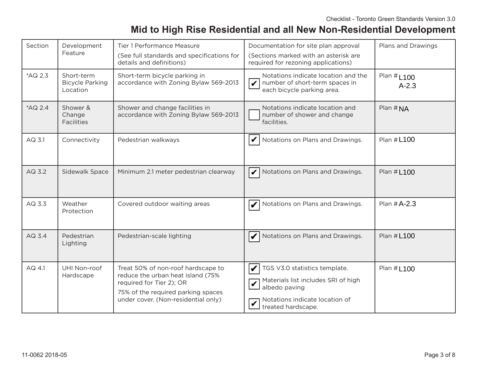| Section | Development<br>Feature                           | Tier 1 Performance Measure<br>(See full standards and specifications for<br>details and definitions)                                                                             | Documentation for site plan approval<br>(Sections marked with an asterisk are<br>required for rezoning applications)                          | Plans and Drawings              |
|---------|--------------------------------------------------|----------------------------------------------------------------------------------------------------------------------------------------------------------------------------------|-----------------------------------------------------------------------------------------------------------------------------------------------|---------------------------------|
| *AQ 2.3 | Short-term<br><b>Bicycle Parking</b><br>Location | Short-term bicycle parking in<br>accordance with Zoning Bylaw 569-2013                                                                                                           | Notations indicate location and the<br>$ \boldsymbol{v} $<br>number of short-term spaces in<br>each bicycle parking area.                     | Plan # <b>L100</b><br>$A - 2.3$ |
| *AQ 2.4 | Shower &<br>Change<br><b>Facilities</b>          | Shower and change facilities in<br>accordance with Zoning Bylaw 569-2013                                                                                                         | Notations indicate location and<br>number of shower and change<br>facilities.                                                                 | Plan $#NA$                      |
| AQ 3.1  | Connectivity                                     | Pedestrian walkways                                                                                                                                                              | Notations on Plans and Drawings.                                                                                                              | Plan #L100                      |
| AQ 3.2  | Sidewalk Space                                   | Minimum 2.1 meter pedestrian clearway                                                                                                                                            | $\mathbf{V}$<br>Notations on Plans and Drawings.                                                                                              | Plan # <b>L100</b>              |
| AQ 3.3  | Weather<br>Protection                            | Covered outdoor waiting areas                                                                                                                                                    | Notations on Plans and Drawings.                                                                                                              | Plan # A-2.3                    |
| AQ 3.4  | Pedestrian<br>Lighting                           | Pedestrian-scale lighting                                                                                                                                                        | Notations on Plans and Drawings.                                                                                                              | Plan # L100                     |
| AQ 4.1  | UHI Non-roof<br>Hardscape                        | Treat 50% of non-roof hardscape to<br>reduce the urban heat island (75%<br>required for Tier 2); OR<br>75% of the required parking spaces<br>under cover. (Non-residential only) | TGS V3.0 statistics template.<br>Materials list includes SRI of high<br>albedo paving<br>Notations indicate location of<br>treated hardscape. | Plan # <b>L100</b>              |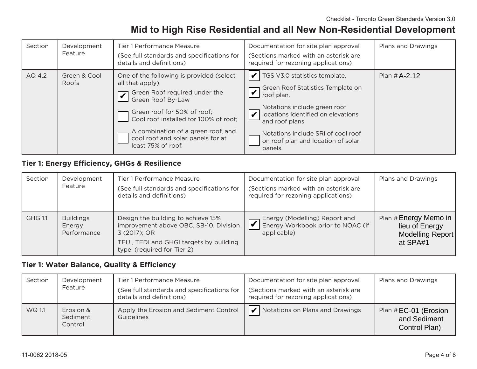| Section | Development<br>Feature | Tier 1 Performance Measure<br>(See full standards and specifications for<br>details and definitions)                                                                                                                                                                                        | Documentation for site plan approval<br>(Sections marked with an asterisk are<br>required for rezoning applications)                                                                                                                                                                                                  | Plans and Drawings |
|---------|------------------------|---------------------------------------------------------------------------------------------------------------------------------------------------------------------------------------------------------------------------------------------------------------------------------------------|-----------------------------------------------------------------------------------------------------------------------------------------------------------------------------------------------------------------------------------------------------------------------------------------------------------------------|--------------------|
| AQ 4.2  | Green & Cool<br>Roofs  | One of the following is provided (select<br>all that apply):<br>Green Roof required under the<br>Green Roof By-Law<br>Green roof for 50% of roof;<br>Cool roof installed for 100% of roof;<br>A combination of a green roof, and<br>cool roof and solar panels for at<br>least 75% of roof. | TGS V3.0 statistics template.<br>Green Roof Statistics Template on<br>$\overline{\mathcal{L}}$ or $\overline{\mathcal{L}}$ roof plan.<br>Notations include green roof<br>locations identified on elevations<br>and roof plans.<br>Notations include SRI of cool roof<br>on roof plan and location of solar<br>panels. | Plan # A-2.12      |

### **Tier 1: Energy Efficiency, GHGs & Resilience**

| Section        | Development<br>Feature                    | Tier 1 Performance Measure<br>(See full standards and specifications for<br>details and definitions)                                                                   | Documentation for site plan approval<br>(Sections marked with an asterisk are<br>required for rezoning applications) | Plans and Drawings                                                      |
|----------------|-------------------------------------------|------------------------------------------------------------------------------------------------------------------------------------------------------------------------|----------------------------------------------------------------------------------------------------------------------|-------------------------------------------------------------------------|
| <b>GHG 1.1</b> | <b>Buildings</b><br>Energy<br>Performance | Design the building to achieve 15%<br>improvement above OBC, SB-10, Division<br>3 (2017); OR<br>TEUI, TEDI and GHGI targets by building<br>type. (required for Tier 2) | Energy (Modelling) Report and<br>$\overline{\mathsf{V}}$<br>Energy Workbook prior to NOAC (if<br>applicable)         | Plan # Energy Memo in<br>lieu of Energy<br>Modelling Report<br>at SPA#1 |

#### **Tier 1: Water Balance, Quality & Efficiency**

| Section | Development<br>Feature           | Tier 1 Performance Measure<br>(See full standards and specifications for<br>details and definitions) | Documentation for site plan approval<br>(Sections marked with an asterisk are<br>required for rezoning applications) | Plans and Drawings                                    |
|---------|----------------------------------|------------------------------------------------------------------------------------------------------|----------------------------------------------------------------------------------------------------------------------|-------------------------------------------------------|
| WQ 1.1  | Erosion &<br>Sediment<br>Control | Apply the Erosion and Sediment Control<br>Guidelines                                                 | احدا<br>Notations on Plans and Drawings                                                                              | Plan #EC-01 (Erosion<br>and Sediment<br>Control Plan) |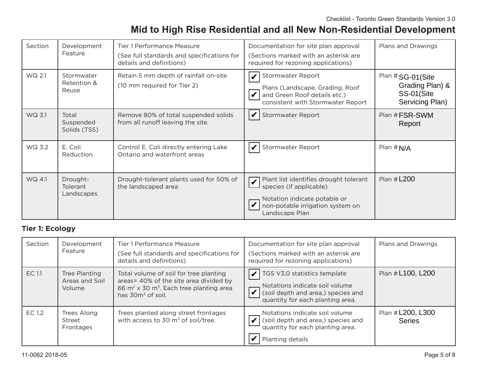| Section | Development<br>Feature                    | Tier 1 Performance Measure<br>(See full standards and specifications for<br>details and definitions) | Documentation for site plan approval<br>(Sections marked with an asterisk are<br>required for rezoning applications)                                                                                          | Plans and Drawings                                                   |
|---------|-------------------------------------------|------------------------------------------------------------------------------------------------------|---------------------------------------------------------------------------------------------------------------------------------------------------------------------------------------------------------------|----------------------------------------------------------------------|
| WQ 2.1  | Stormwater<br>Retention &<br>Reuse        | Retain 5 mm depth of rainfall on-site<br>(10 mm required for Tier 2)                                 | Stormwater Report<br>Plans (Landscape, Grading, Roof<br>and Green Roof details etc.)<br>consistent with Stormwater Report                                                                                     | Plan #SG-01(Site<br>Grading Plan) &<br>SS-01(Site<br>Servicing Plan) |
| WQ 3.1  | Total<br>Suspended<br>Solids (TSS)        | Remove 80% of total suspended solids<br>from all runoff leaving the site.                            | Stormwater Report                                                                                                                                                                                             | Plan # FSR-SWM<br>Report                                             |
| WQ 3.2  | E. Coli<br>Reduction                      | Control E. Coli directly entering Lake<br>Ontario and waterfront areas                               | Stormwater Report                                                                                                                                                                                             | Plan $# N/A$                                                         |
| WQ 4.1  | Drought-<br><b>Tolerant</b><br>Landscapes | Drought-tolerant plants used for 50% of<br>the landscaped area                                       | Plant list identifies drought tolerant<br>Plant list identified to Plant list identified to the species (if applicable)<br>Notation indicate potable or<br>non-potable irrigation system on<br>Landscape Plan | Plan # L200                                                          |

### **Tier 1: Ecology**

| Section | Development<br>Feature                    | Tier 1 Performance Measure<br>(See full standards and specifications for<br>details and definitions)                                                                        | Documentation for site plan approval<br>(Sections marked with an asterisk are<br>required for rezoning applications)                     | Plans and Drawings                 |
|---------|-------------------------------------------|-----------------------------------------------------------------------------------------------------------------------------------------------------------------------------|------------------------------------------------------------------------------------------------------------------------------------------|------------------------------------|
| EC 1.1  | Tree Planting<br>Areas and Soil<br>Volume | Total volume of soil for tree planting<br>areas= 40% of the site area divided by<br>66 m <sup>2</sup> x 30 m <sup>3</sup> . Each tree planting area<br>has $30m^3$ of soil. | TGS V3.0 statistics template<br>Notations indicate soil volume<br>(soil depth and area,) species and<br>quantity for each planting area. | Plan # L100, L200                  |
| EC 1.2  | Trees Along<br>Street<br>Frontages        | Trees planted along street frontages<br>with access to 30 $\text{m}^3$ of soil/tree.                                                                                        | Notations indicate soil volume<br>(soil depth and area,) species and<br>quantity for each planting area.<br>Planting details             | Plan # L200, L300<br><b>Series</b> |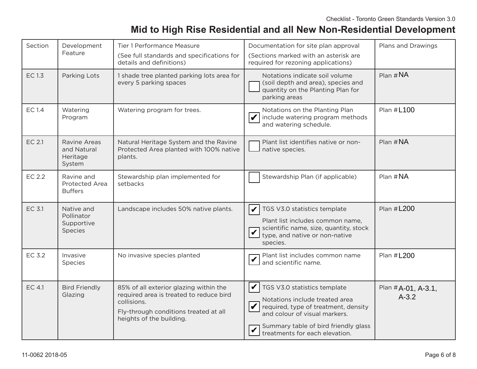| Section       | Development<br>Feature                            | Tier 1 Performance Measure<br>(See full standards and specifications for<br>details and definitions)                                                                  | Documentation for site plan approval<br>(Sections marked with an asterisk are<br>required for rezoning applications)                                                                                                   | Plans and Drawings              |
|---------------|---------------------------------------------------|-----------------------------------------------------------------------------------------------------------------------------------------------------------------------|------------------------------------------------------------------------------------------------------------------------------------------------------------------------------------------------------------------------|---------------------------------|
| <b>EC 1.3</b> | Parking Lots                                      | 1 shade tree planted parking lots area for<br>every 5 parking spaces                                                                                                  | Notations indicate soil volume<br>(soil depth and area), species and<br>quantity on the Planting Plan for<br>parking areas                                                                                             | Plan # $NA$                     |
| <b>EC 1.4</b> | Watering<br>Program                               | Watering program for trees.                                                                                                                                           | Notations on the Planting Plan<br>include watering program methods<br>and watering schedule.                                                                                                                           | Plan #L100                      |
| EC 2.1        | Ravine Areas<br>and Natural<br>Heritage<br>System | Natural Heritage System and the Ravine<br>Protected Area planted with 100% native<br>plants.                                                                          | Plant list identifies native or non-<br>native species.                                                                                                                                                                | Plan $#NA$                      |
| EC 2.2        | Ravine and<br>Protected Area<br><b>Buffers</b>    | Stewardship plan implemented for<br>setbacks                                                                                                                          | Stewardship Plan (if applicable)                                                                                                                                                                                       | Plan #NA                        |
| EC 3.1        | Native and<br>Pollinator<br>Supportive<br>Species | Landscape includes 50% native plants.                                                                                                                                 | V<br>TGS V3.0 statistics template<br>Plant list includes common name,<br>scientific name, size, quantity, stock<br>type, and native or non-native<br>species.                                                          | Plan #L200                      |
| EC 3.2        | Invasive<br>Species                               | No invasive species planted                                                                                                                                           | Plant list includes common name<br>and scientific name.                                                                                                                                                                | Plan #L200                      |
| EC 4.1        | <b>Bird Friendly</b><br>Glazing                   | 85% of all exterior glazing within the<br>required area is treated to reduce bird<br>collisions.<br>Fly-through conditions treated at all<br>heights of the building. | V<br>TGS V3.0 statistics template<br>Notations include treated area<br>required, type of treatment, density<br>and colour of visual markers.<br>Summary table of bird friendly glass<br>treatments for each elevation. | Plan #A-01, A-3.1,<br>$A - 3.2$ |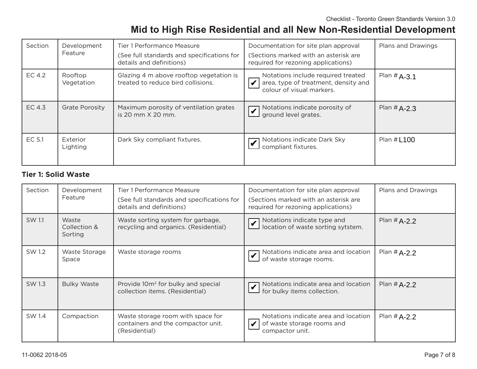| Section | Development<br>Feature | Tier 1 Performance Measure<br>(See full standards and specifications for<br>details and definitions) | Documentation for site plan approval<br>(Sections marked with an asterisk are<br>required for rezoning applications) | Plans and Drawings |
|---------|------------------------|------------------------------------------------------------------------------------------------------|----------------------------------------------------------------------------------------------------------------------|--------------------|
| EC 4.2  | Rooftop<br>Vegetation  | Glazing 4 m above rooftop vegetation is<br>treated to reduce bird collisions.                        | Notations include required treated<br>area, type of treatment, density and<br>colour of visual markers.              | Plan # $A-3.1$     |
| EC 4.3  | <b>Grate Porosity</b>  | Maximum porosity of ventilation grates<br>is 20 mm $X$ 20 mm.                                        | Notations indicate porosity of<br>$\boldsymbol{\triangledown}$<br>$\Box$ ground level grates.                        | Plan # $A-2.3$     |
| EC 5.1  | Exterior<br>Lighting   | Dark Sky compliant fixtures.                                                                         | Notations indicate Dark Sky<br>$\perp$ compliant fixtures.                                                           | Plan # <b>L100</b> |

### **Tier 1: Solid Waste**

| Section | Development<br>Feature           | Tier 1 Performance Measure<br>(See full standards and specifications for<br>details and definitions) | Documentation for site plan approval<br>(Sections marked with an asterisk are<br>required for rezoning applications) | Plans and Drawings |
|---------|----------------------------------|------------------------------------------------------------------------------------------------------|----------------------------------------------------------------------------------------------------------------------|--------------------|
| SW 1.1  | Waste<br>Collection &<br>Sorting | Waste sorting system for garbage,<br>recycling and organics. (Residential)                           | Notations indicate type and<br>Motations indicate type and location of waste sorting sytstem.                        | Plan # $A-2.2$     |
| SW 1.2  | Waste Storage<br>Space           | Waste storage rooms                                                                                  | Notations indicate area and location<br>of waste storage rooms.                                                      | Plan # $A-2.2$     |
| SW 1.3  | <b>Bulky Waste</b>               | Provide 10m <sup>2</sup> for bulky and special<br>collection items. (Residential)                    | Notations indicate area and location<br>$\Box$ for bulky items collection.                                           | Plan # $A-2.2$     |
| SW 1.4  | Compaction                       | Waste storage room with space for<br>containers and the compactor unit.<br>(Residential)             | Notations indicate area and location<br>of waste storage rooms and<br>compactor unit.                                | Plan # $A-2.2$     |